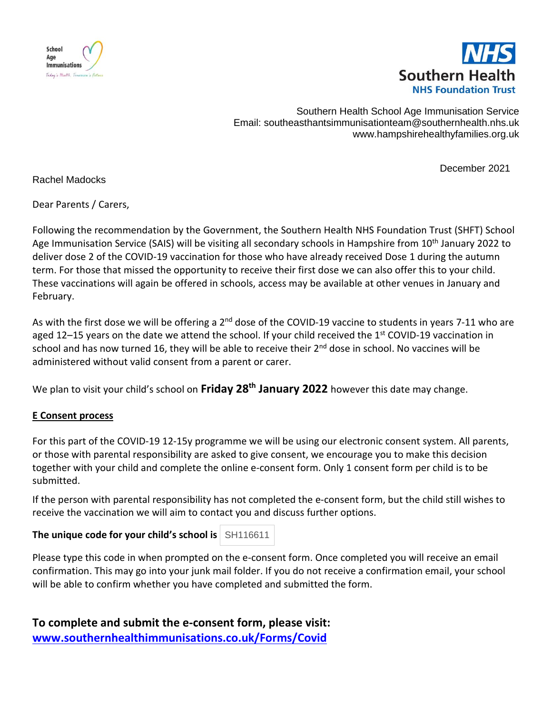



Southern Health School Age Immunisation Service Email: <southeasthantsimmunisationteam@southernhealth.nhs.uk> www.hampshirehealthyfamilies.org.uk

December 2021

Rachel Madocks

Dear Parents / Carers,

Following the recommendation by the Government, the Southern Health NHS Foundation Trust (SHFT) School Age Immunisation Service (SAIS) will be visiting all secondary schools in Hampshire from 10<sup>th</sup> January 2022 to deliver dose 2 of the COVID-19 vaccination for those who have already received Dose 1 during the autumn term. For those that missed the opportunity to receive their first dose we can also offer this to your child. These vaccinations will again be offered in schools, access may be available at other venues in January and February.

As with the first dose we will be offering a 2<sup>nd</sup> dose of the COVID-19 vaccine to students in years 7-11 who are aged 12–15 years on the date we attend the school. If your child received the 1<sup>st</sup> COVID-19 vaccination in school and has now turned 16, they will be able to receive their  $2^{nd}$  dose in school. No vaccines will be administered without valid consent from a parent or carer.

We plan to visit your child's school on **Friday 28th January 2022** however this date may change.

## **E Consent process**

For this part of the COVID-19 12-15y programme we will be using our electronic consent system. All parents, or those with parental responsibility are asked to give consent, we encourage you to make this decision together with your child and complete the online e-consent form. Only 1 consent form per child is to be submitted.

If the person with parental responsibility has not completed the e-consent form, but the child still wishes to receive the vaccination we will aim to contact you and discuss further options.

**The unique code for your child's school is SH116611** 

Please type this code in when prompted on the e-consent form. Once completed you will receive an email confirmation. This may go into your junk mail folder. If you do not receive a confirmation email, your school will be able to confirm whether you have completed and submitted the form.

**To complete and submit the e-consent form, please visit: [www.southernhealthimmunisations.co.uk/Forms/Covid](http://www.southernhealthimmunisations.co.uk/Forms/Covid)**